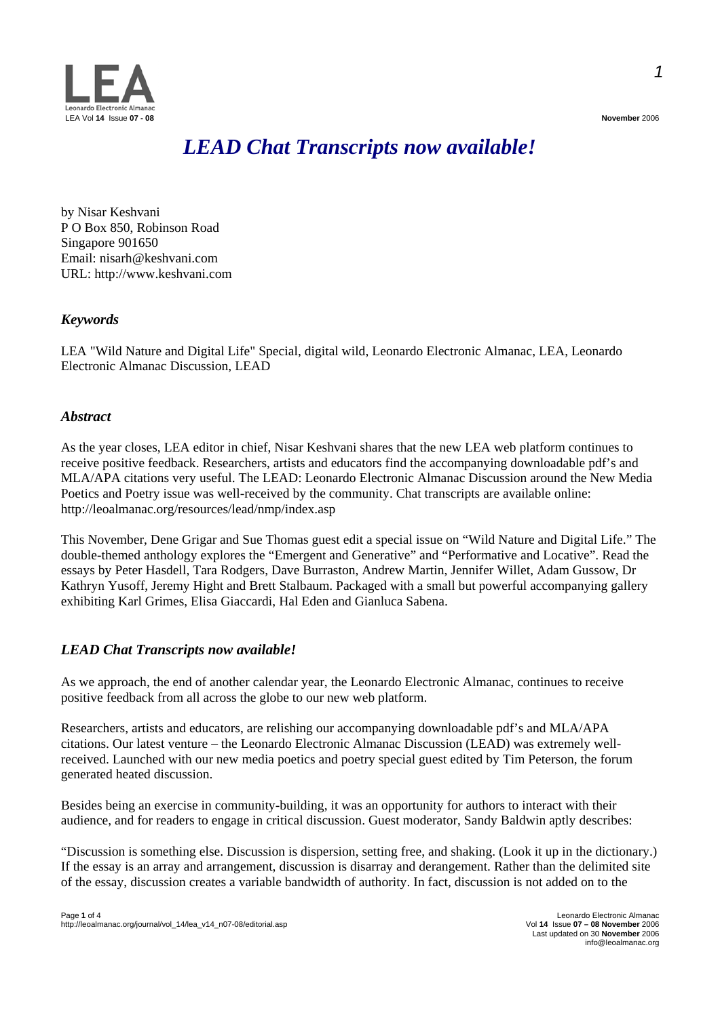



# *LEAD Chat Transcripts now available!*

by Nisar Keshvani P O Box 850, Robinson Road Singapore 901650 Email: nisarh@keshvani.com URL: http://www.keshvani.com

# *Keywords*

LEA "Wild Nature and Digital Life" Special, digital wild, Leonardo Electronic Almanac, LEA, Leonardo Electronic Almanac Discussion, LEAD

## *Abstract*

As the year closes, LEA editor in chief, Nisar Keshvani shares that the new LEA web platform continues to receive positive feedback. Researchers, artists and educators find the accompanying downloadable pdf's and MLA/APA citations very useful. The LEAD: Leonardo Electronic Almanac Discussion around the New Media Poetics and Poetry issue was well-received by the community. Chat transcripts are available online: http://leoalmanac.org/resources/lead/nmp/index.asp

This November, Dene Grigar and Sue Thomas guest edit a special issue on "Wild Nature and Digital Life." The double-themed anthology explores the "Emergent and Generative" and "Performative and Locative". Read the essays by Peter Hasdell, Tara Rodgers, Dave Burraston, Andrew Martin, Jennifer Willet, Adam Gussow, Dr Kathryn Yusoff, Jeremy Hight and Brett Stalbaum. Packaged with a small but powerful accompanying gallery exhibiting Karl Grimes, Elisa Giaccardi, Hal Eden and Gianluca Sabena.

# *LEAD Chat Transcripts now available!*

As we approach, the end of another calendar year, the Leonardo Electronic Almanac, continues to receive positive feedback from all across the globe to our new web platform.

Researchers, artists and educators, are relishing our accompanying downloadable pdf's and MLA/APA citations. Our latest venture – the Leonardo Electronic Almanac Discussion (LEAD) was extremely wellreceived. Launched with our new media poetics and poetry special guest edited by Tim Peterson, the forum generated heated discussion.

Besides being an exercise in community-building, it was an opportunity for authors to interact with their audience, and for readers to engage in critical discussion. Guest moderator, Sandy Baldwin aptly describes:

"Discussion is something else. Discussion is dispersion, setting free, and shaking. (Look it up in the dictionary.) If the essay is an array and arrangement, discussion is disarray and derangement. Rather than the delimited site of the essay, discussion creates a variable bandwidth of authority. In fact, discussion is not added on to the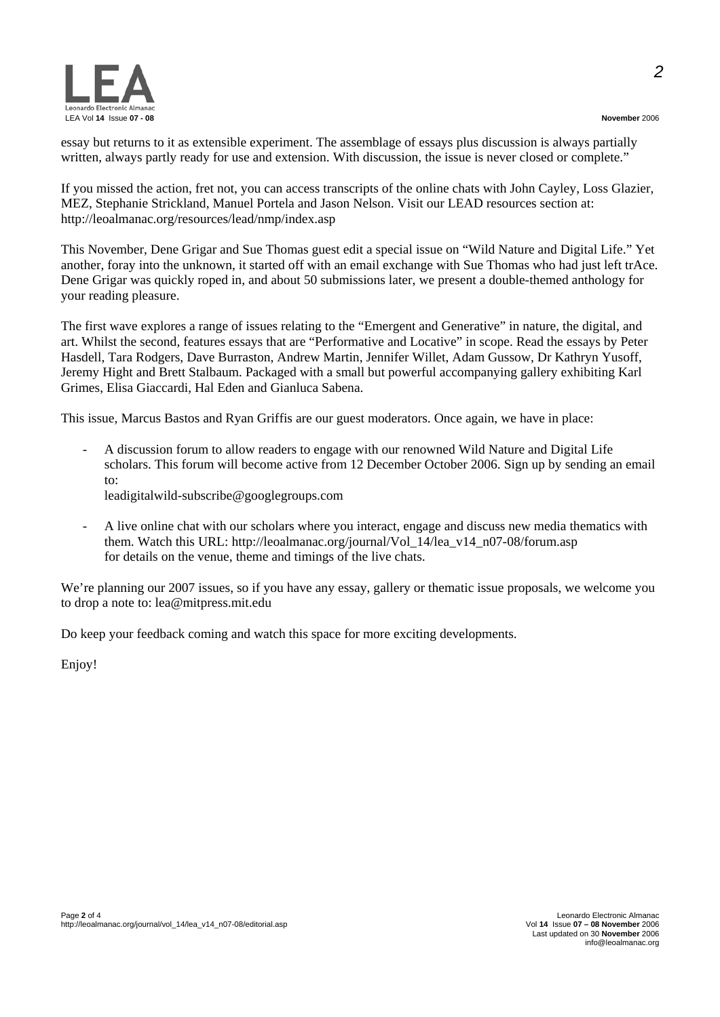*2*



essay but returns to it as extensible experiment. The assemblage of essays plus discussion is always partially written, always partly ready for use and extension. With discussion, the issue is never closed or complete."

If you missed the action, fret not, you can access transcripts of the online chats with John Cayley, Loss Glazier, MEZ, Stephanie Strickland, Manuel Portela and Jason Nelson. Visit our LEAD resources section at: http://leoalmanac.org/resources/lead/nmp/index.asp

This November, Dene Grigar and Sue Thomas guest edit a special issue on "Wild Nature and Digital Life." Yet another, foray into the unknown, it started off with an email exchange with Sue Thomas who had just left trAce. Dene Grigar was quickly roped in, and about 50 submissions later, we present a double-themed anthology for your reading pleasure.

The first wave explores a range of issues relating to the "Emergent and Generative" in nature, the digital, and art. Whilst the second, features essays that are "Performative and Locative" in scope. Read the essays by Peter Hasdell, Tara Rodgers, Dave Burraston, Andrew Martin, Jennifer Willet, Adam Gussow, Dr Kathryn Yusoff, Jeremy Hight and Brett Stalbaum. Packaged with a small but powerful accompanying gallery exhibiting Karl Grimes, Elisa Giaccardi, Hal Eden and Gianluca Sabena.

This issue, Marcus Bastos and Ryan Griffis are our guest moderators. Once again, we have in place:

- A discussion forum to allow readers to engage with our renowned Wild Nature and Digital Life scholars. This forum will become active from 12 December October 2006. Sign up by sending an email to:

leadigitalwild-subscribe@googlegroups.com

- A live online chat with our scholars where you interact, engage and discuss new media thematics with them. Watch this URL: http://leoalmanac.org/journal/Vol 14/lea\_v14\_n07-08/forum.asp for details on the venue, theme and timings of the live chats.

We're planning our 2007 issues, so if you have any essay, gallery or thematic issue proposals, we welcome you to drop a note to: lea@mitpress.mit.edu

Do keep your feedback coming and watch this space for more exciting developments.

Enjoy!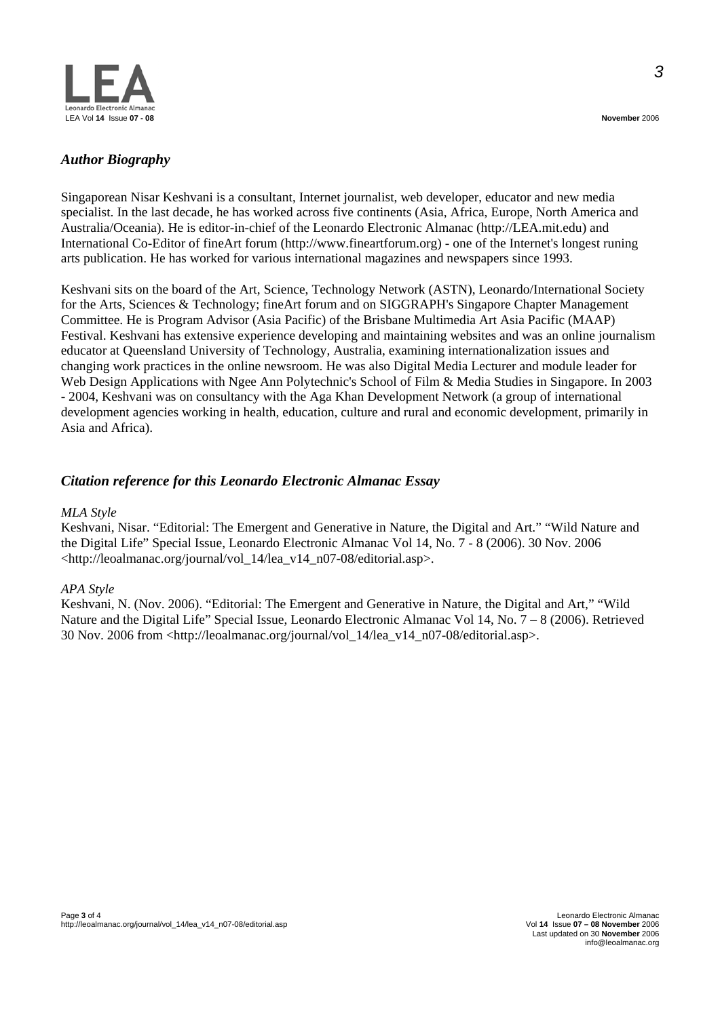

Singaporean Nisar Keshvani is a consultant, Internet journalist, web developer, educator and new media specialist. In the last decade, he has worked across five continents (Asia, Africa, Europe, North America and Australia/Oceania). He is editor-in-chief of the Leonardo Electronic Almanac (http://LEA.mit.edu) and International Co-Editor of fineArt forum (http://www.fineartforum.org) - one of the Internet's longest runing arts publication. He has worked for various international magazines and newspapers since 1993.

Keshvani sits on the board of the Art, Science, Technology Network (ASTN), Leonardo/International Society for the Arts, Sciences & Technology; fineArt forum and on SIGGRAPH's Singapore Chapter Management Committee. He is Program Advisor (Asia Pacific) of the Brisbane Multimedia Art Asia Pacific (MAAP) Festival. Keshvani has extensive experience developing and maintaining websites and was an online journalism educator at Queensland University of Technology, Australia, examining internationalization issues and changing work practices in the online newsroom. He was also Digital Media Lecturer and module leader for Web Design Applications with Ngee Ann Polytechnic's School of Film & Media Studies in Singapore. In 2003 - 2004, Keshvani was on consultancy with the Aga Khan Development Network (a group of international development agencies working in health, education, culture and rural and economic development, primarily in Asia and Africa).

# *Citation reference for this Leonardo Electronic Almanac Essay*

#### *MLA Style*

Keshvani, Nisar. "Editorial: The Emergent and Generative in Nature, the Digital and Art." "Wild Nature and the Digital Life" Special Issue, Leonardo Electronic Almanac Vol 14, No. 7 - 8 (2006). 30 Nov. 2006 <http://leoalmanac.org/journal/vol\_14/lea\_v14\_n07-08/editorial.asp>.

### *APA Style*

Keshvani, N. (Nov. 2006). "Editorial: The Emergent and Generative in Nature, the Digital and Art," "Wild Nature and the Digital Life" Special Issue, Leonardo Electronic Almanac Vol 14, No. 7 – 8 (2006). Retrieved 30 Nov. 2006 from <http://leoalmanac.org/journal/vol\_14/lea\_v14\_n07-08/editorial.asp>.